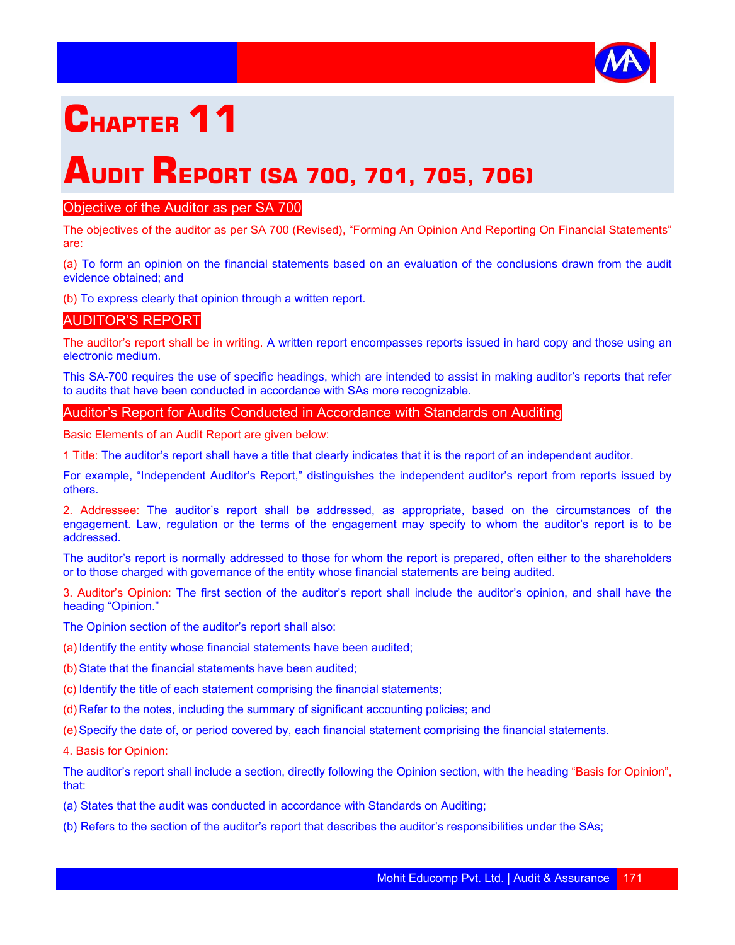

# **CHAPTER 11**

# **AUDIT REPORT (SA 700, 701, 705, 706)**

# Objective of the Auditor as per SA 700

The objectives of the auditor as per SA 700 (Revised), "Forming An Opinion And Reporting On Financial Statements" are:

(a) To form an opinion on the financial statements based on an evaluation of the conclusions drawn from the audit evidence obtained; and

(b) To express clearly that opinion through a written report.

# AUDITOR'S REPORT

The auditor's report shall be in writing. A written report encompasses reports issued in hard copy and those using an electronic medium.

This SA-700 requires the use of specific headings, which are intended to assist in making auditor's reports that refer to audits that have been conducted in accordance with SAs more recognizable.

Auditor's Report for Audits Conducted in Accordance with Standards on Auditing

Basic Elements of an Audit Report are given below:

1 Title: The auditor's report shall have a title that clearly indicates that it is the report of an independent auditor.

For example, "Independent Auditor's Report," distinguishes the independent auditor's report from reports issued by others.

2. Addressee: The auditor's report shall be addressed, as appropriate, based on the circumstances of the engagement. Law, regulation or the terms of the engagement may specify to whom the auditor's report is to be addressed.

The auditor's report is normally addressed to those for whom the report is prepared, often either to the shareholders or to those charged with governance of the entity whose financial statements are being audited.

3. Auditor's Opinion: The first section of the auditor's report shall include the auditor's opinion, and shall have the heading "Opinion."

The Opinion section of the auditor's report shall also:

- (a) Identify the entity whose financial statements have been audited;
- (b) State that the financial statements have been audited;
- (c) Identify the title of each statement comprising the financial statements;
- (d)Refer to the notes, including the summary of significant accounting policies; and

(e)Specify the date of, or period covered by, each financial statement comprising the financial statements.

4. Basis for Opinion:

The auditor's report shall include a section, directly following the Opinion section, with the heading "Basis for Opinion", that:

- (a) States that the audit was conducted in accordance with Standards on Auditing;
- (b) Refers to the section of the auditor's report that describes the auditor's responsibilities under the SAs;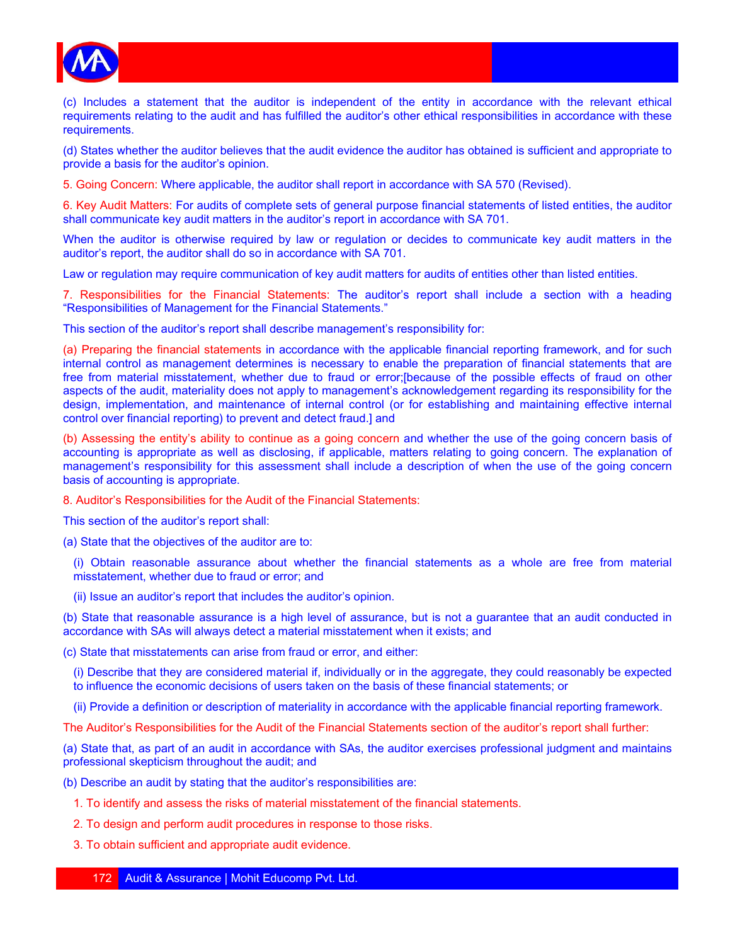

(c) Includes a statement that the auditor is independent of the entity in accordance with the relevant ethical requirements relating to the audit and has fulfilled the auditor's other ethical responsibilities in accordance with these requirements.

(d) States whether the auditor believes that the audit evidence the auditor has obtained is sufficient and appropriate to provide a basis for the auditor's opinion.

5. Going Concern: Where applicable, the auditor shall report in accordance with SA 570 (Revised).

6. Key Audit Matters: For audits of complete sets of general purpose financial statements of listed entities, the auditor shall communicate key audit matters in the auditor's report in accordance with SA 701.

When the auditor is otherwise required by law or regulation or decides to communicate key audit matters in the auditor's report, the auditor shall do so in accordance with SA 701.

Law or regulation may require communication of key audit matters for audits of entities other than listed entities.

7. Responsibilities for the Financial Statements: The auditor's report shall include a section with a heading "Responsibilities of Management for the Financial Statements."

This section of the auditor's report shall describe management's responsibility for:

(a) Preparing the financial statements in accordance with the applicable financial reporting framework, and for such internal control as management determines is necessary to enable the preparation of financial statements that are free from material misstatement, whether due to fraud or error;[because of the possible effects of fraud on other aspects of the audit, materiality does not apply to management's acknowledgement regarding its responsibility for the design, implementation, and maintenance of internal control (or for establishing and maintaining effective internal control over financial reporting) to prevent and detect fraud.] and

(b) Assessing the entity's ability to continue as a going concern and whether the use of the going concern basis of accounting is appropriate as well as disclosing, if applicable, matters relating to going concern. The explanation of management's responsibility for this assessment shall include a description of when the use of the going concern basis of accounting is appropriate.

8. Auditor's Responsibilities for the Audit of the Financial Statements:

This section of the auditor's report shall:

(a) State that the objectives of the auditor are to:

(i) Obtain reasonable assurance about whether the financial statements as a whole are free from material misstatement, whether due to fraud or error; and

(ii) Issue an auditor's report that includes the auditor's opinion.

(b) State that reasonable assurance is a high level of assurance, but is not a guarantee that an audit conducted in accordance with SAs will always detect a material misstatement when it exists; and

(c) State that misstatements can arise from fraud or error, and either:

(i) Describe that they are considered material if, individually or in the aggregate, they could reasonably be expected to influence the economic decisions of users taken on the basis of these financial statements; or

(ii) Provide a definition or description of materiality in accordance with the applicable financial reporting framework.

The Auditor's Responsibilities for the Audit of the Financial Statements section of the auditor's report shall further:

(a) State that, as part of an audit in accordance with SAs, the auditor exercises professional judgment and maintains professional skepticism throughout the audit; and

- (b) Describe an audit by stating that the auditor's responsibilities are:
	- 1. To identify and assess the risks of material misstatement of the financial statements.
	- 2. To design and perform audit procedures in response to those risks.
	- 3. To obtain sufficient and appropriate audit evidence.
		- 172 Audit & Assurance | Mohit Educomp Pvt. Ltd.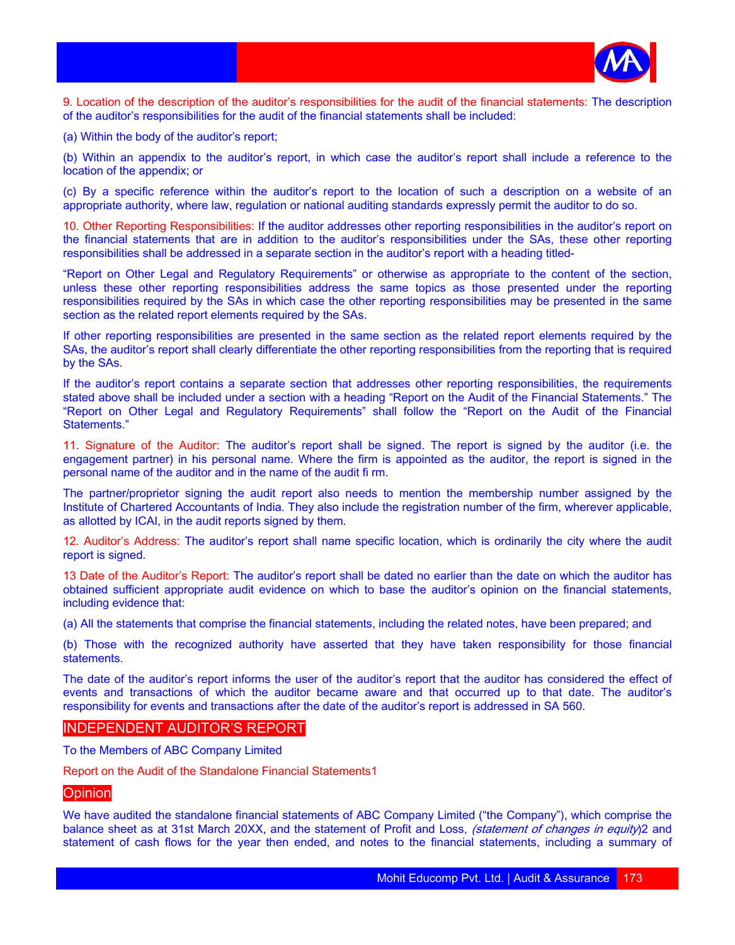

9. Location of the description of the auditor's responsibilities for the audit of the financial statements: The description of the auditor's responsibilities for the audit of the financial statements shall be included:

(a) Within the body of the auditor's report;

(b) Within an appendix to the auditor's report, in which case the auditor's report shall include a reference to the location of the appendix; or

(c) By a specific reference within the auditor's report to the location of such a description on a website of an appropriate authority, where law, regulation or national auditing standards expressly permit the auditor to do so.

10. Other Reporting Responsibilities: If the auditor addresses other reporting responsibilities in the auditor's report on the financial statements that are in addition to the auditor's responsibilities under the SAs, these other reporting responsibilities shall be addressed in a separate section in the auditor's report with a heading titled-

"Report on Other Legal and Regulatory Requirements" or otherwise as appropriate to the content of the section, unless these other reporting responsibilities address the same topics as those presented under the reporting responsibilities required by the SAs in which case the other reporting responsibilities may be presented in the same section as the related report elements required by the SAs.

If other reporting responsibilities are presented in the same section as the related report elements required by the SAs, the auditor's report shall clearly differentiate the other reporting responsibilities from the reporting that is required by the SAs.

If the auditor's report contains a separate section that addresses other reporting responsibilities, the requirements stated above shall be included under a section with a heading "Report on the Audit of the Financial Statements." The "Report on Other Legal and Regulatory Requirements" shall follow the "Report on the Audit of the Financial Statements."

11. Signature of the Auditor: The auditor's report shall be signed. The report is signed by the auditor (i.e. the engagement partner) in his personal name. Where the firm is appointed as the auditor, the report is signed in the personal name of the auditor and in the name of the audit fi rm.

The partner/proprietor signing the audit report also needs to mention the membership number assigned by the Institute of Chartered Accountants of India. They also include the registration number of the firm, wherever applicable, as allotted by ICAI, in the audit reports signed by them.

12. Auditor's Address: The auditor's report shall name specific location, which is ordinarily the city where the audit report is signed.

13 Date of the Auditor's Report: The auditor's report shall be dated no earlier than the date on which the auditor has obtained sufficient appropriate audit evidence on which to base the auditor's opinion on the financial statements, including evidence that:

(a) All the statements that comprise the financial statements, including the related notes, have been prepared; and

(b) Those with the recognized authority have asserted that they have taken responsibility for those financial statements.

The date of the auditor's report informs the user of the auditor's report that the auditor has considered the effect of events and transactions of which the auditor became aware and that occurred up to that date. The auditor's responsibility for events and transactions after the date of the auditor's report is addressed in SA 560.

# INDEPENDENT AUDITOR'S REPORT

To the Members of ABC Company Limited

Report on the Audit of the Standalone Financial Statements1

# **Opinion**

We have audited the standalone financial statements of ABC Company Limited ("the Company"), which comprise the balance sheet as at 31st March 20XX, and the statement of Profit and Loss, *(statement of changes in equity*)2 and statement of cash flows for the year then ended, and notes to the financial statements, including a summary of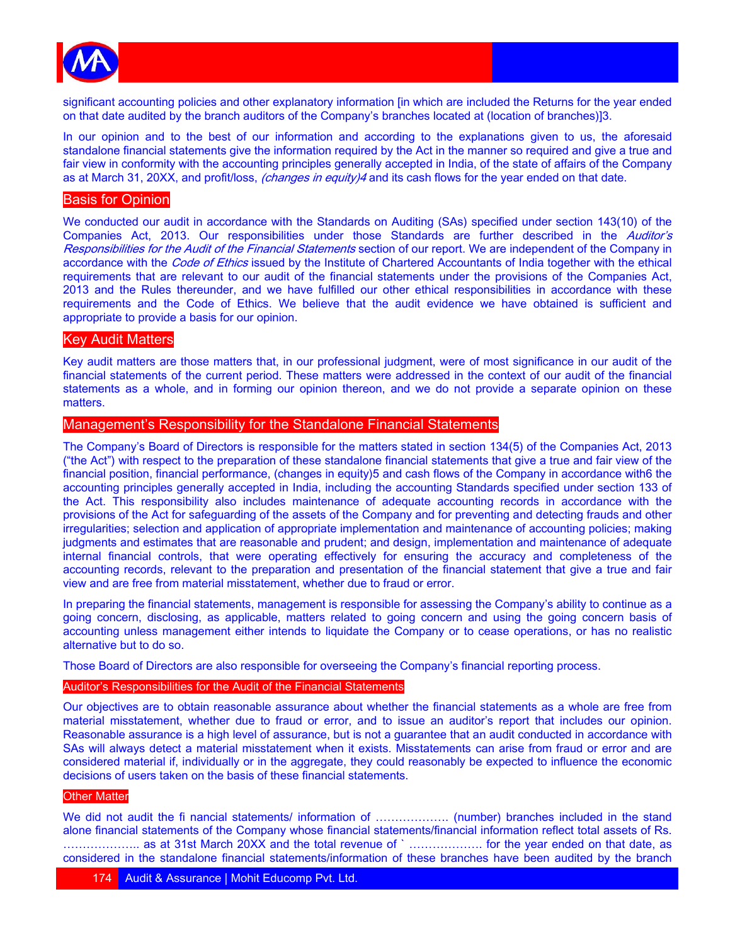

significant accounting policies and other explanatory information [in which are included the Returns for the year ended on that date audited by the branch auditors of the Company's branches located at (location of branches)]3.

In our opinion and to the best of our information and according to the explanations given to us, the aforesaid standalone financial statements give the information required by the Act in the manner so required and give a true and fair view in conformity with the accounting principles generally accepted in India, of the state of affairs of the Company as at March 31, 20XX, and profit/loss, *(changes in equity)4* and its cash flows for the year ended on that date.

#### Basis for Opinion

We conducted our audit in accordance with the Standards on Auditing (SAs) specified under section 143(10) of the Companies Act, 2013. Our responsibilities under those Standards are further described in the Auditor's Responsibilities for the Audit of the Financial Statements section of our report. We are independent of the Company in accordance with the Code of Ethics issued by the Institute of Chartered Accountants of India together with the ethical requirements that are relevant to our audit of the financial statements under the provisions of the Companies Act, 2013 and the Rules thereunder, and we have fulfilled our other ethical responsibilities in accordance with these requirements and the Code of Ethics. We believe that the audit evidence we have obtained is sufficient and appropriate to provide a basis for our opinion.

# Key Audit Matters

Key audit matters are those matters that, in our professional judgment, were of most significance in our audit of the financial statements of the current period. These matters were addressed in the context of our audit of the financial statements as a whole, and in forming our opinion thereon, and we do not provide a separate opinion on these matters.

#### Management's Responsibility for the Standalone Financial Statements

The Company's Board of Directors is responsible for the matters stated in section 134(5) of the Companies Act, 2013 ("the Act") with respect to the preparation of these standalone financial statements that give a true and fair view of the financial position, financial performance, (changes in equity)5 and cash flows of the Company in accordance with6 the accounting principles generally accepted in India, including the accounting Standards specified under section 133 of the Act. This responsibility also includes maintenance of adequate accounting records in accordance with the provisions of the Act for safeguarding of the assets of the Company and for preventing and detecting frauds and other irregularities; selection and application of appropriate implementation and maintenance of accounting policies; making judgments and estimates that are reasonable and prudent; and design, implementation and maintenance of adequate internal financial controls, that were operating effectively for ensuring the accuracy and completeness of the accounting records, relevant to the preparation and presentation of the financial statement that give a true and fair view and are free from material misstatement, whether due to fraud or error.

In preparing the financial statements, management is responsible for assessing the Company's ability to continue as a going concern, disclosing, as applicable, matters related to going concern and using the going concern basis of accounting unless management either intends to liquidate the Company or to cease operations, or has no realistic alternative but to do so.

Those Board of Directors are also responsible for overseeing the Company's financial reporting process.

#### Auditor's Responsibilities for the Audit of the Financial Statements

Our objectives are to obtain reasonable assurance about whether the financial statements as a whole are free from material misstatement, whether due to fraud or error, and to issue an auditor's report that includes our opinion. Reasonable assurance is a high level of assurance, but is not a guarantee that an audit conducted in accordance with SAs will always detect a material misstatement when it exists. Misstatements can arise from fraud or error and are considered material if, individually or in the aggregate, they could reasonably be expected to influence the economic decisions of users taken on the basis of these financial statements.

#### **Other Matter**

We did not audit the fi nancial statements/ information of .................... (number) branches included in the stand alone financial statements of the Company whose financial statements/financial information reflect total assets of Rs. ……………….. as at 31st March 20XX and the total revenue of ` ………………. for the year ended on that date, as considered in the standalone financial statements/information of these branches have been audited by the branch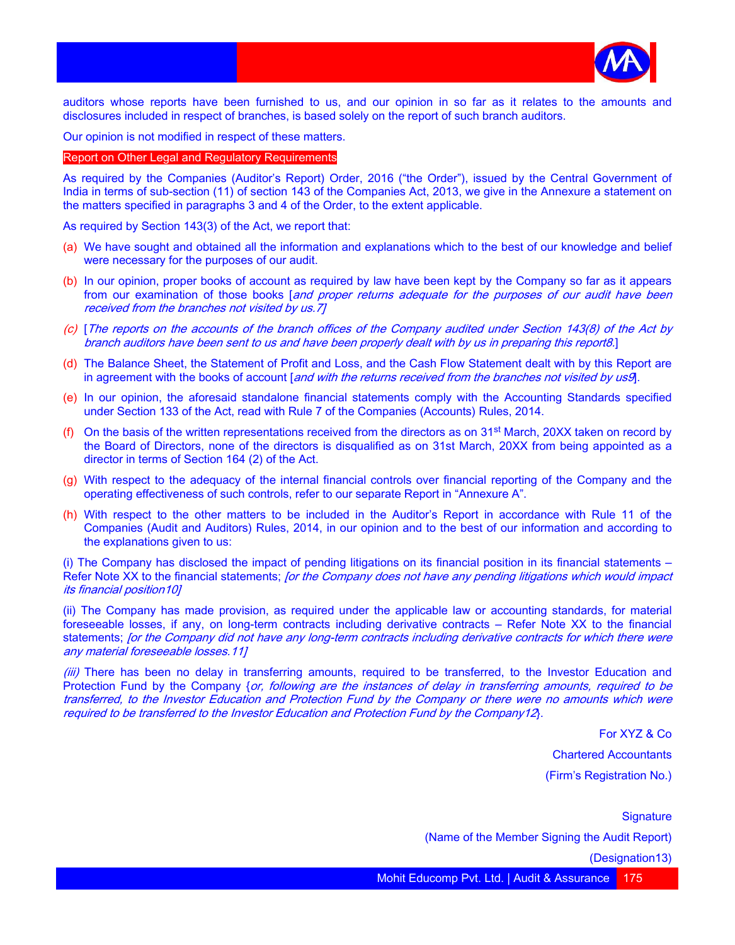

auditors whose reports have been furnished to us, and our opinion in so far as it relates to the amounts and disclosures included in respect of branches, is based solely on the report of such branch auditors.

Our opinion is not modified in respect of these matters.

#### Report on Other Legal and Regulatory Requirements

As required by the Companies (Auditor's Report) Order, 2016 ("the Order"), issued by the Central Government of India in terms of sub-section (11) of section 143 of the Companies Act, 2013, we give in the Annexure a statement on the matters specified in paragraphs 3 and 4 of the Order, to the extent applicable.

As required by Section 143(3) of the Act, we report that:

- (a) We have sought and obtained all the information and explanations which to the best of our knowledge and belief were necessary for the purposes of our audit.
- (b) In our opinion, proper books of account as required by law have been kept by the Company so far as it appears from our examination of those books [and proper returns adequate for the purposes of our audit have been received from the branches not visited by us.7]
- (c) [The reports on the accounts of the branch offices of the Company audited under Section 143(8) of the Act by branch auditors have been sent to us and have been properly dealt with by us in preparing this report8.]
- (d) The Balance Sheet, the Statement of Profit and Loss, and the Cash Flow Statement dealt with by this Report are in agreement with the books of account [*and with the returns received from the branches not visited by us9*].
- (e) In our opinion, the aforesaid standalone financial statements comply with the Accounting Standards specified under Section 133 of the Act, read with Rule 7 of the Companies (Accounts) Rules, 2014.
- (f) On the basis of the written representations received from the directors as on  $31<sup>st</sup>$  March, 20XX taken on record by the Board of Directors, none of the directors is disqualified as on 31st March, 20XX from being appointed as a director in terms of Section 164 (2) of the Act.
- (g) With respect to the adequacy of the internal financial controls over financial reporting of the Company and the operating effectiveness of such controls, refer to our separate Report in "Annexure A".
- (h) With respect to the other matters to be included in the Auditor's Report in accordance with Rule 11 of the Companies (Audit and Auditors) Rules, 2014, in our opinion and to the best of our information and according to the explanations given to us:

(i) The Company has disclosed the impact of pending litigations on its financial position in its financial statements – Refer Note XX to the financial statements; *[or the Company does not have any pending litigations which would impact* its financial position10]

(ii) The Company has made provision, as required under the applicable law or accounting standards, for material foreseeable losses, if any, on long-term contracts including derivative contracts – Refer Note XX to the financial statements; [or the Company did not have any long-term contracts including derivative contracts for which there were any material foreseeable losses.11]

(iii) There has been no delay in transferring amounts, required to be transferred, to the Investor Education and Protection Fund by the Company {or, following are the instances of delay in transferring amounts, required to be transferred, to the Investor Education and Protection Fund by the Company or there were no amounts which were required to be transferred to the Investor Education and Protection Fund by the Company12}.

> For XYZ & Co Chartered Accountants (Firm's Registration No.)

> > **Signature**

(Name of the Member Signing the Audit Report)

(Designation13)

Mohit Educomp Pvt. Ltd. | Audit & Assurance 175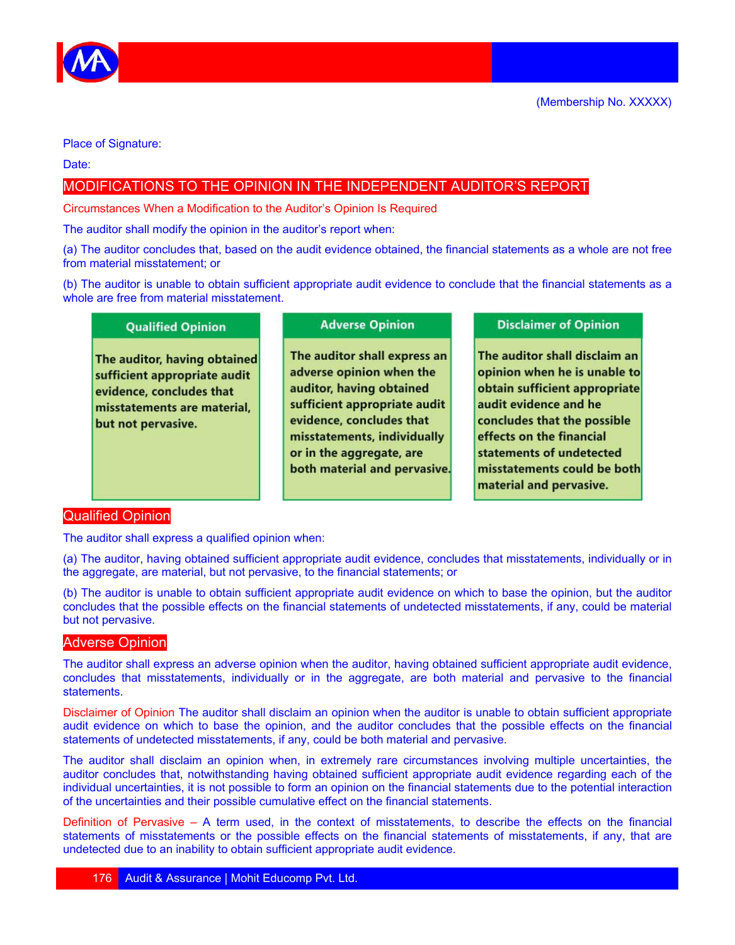



#### Place of Signature:

Date:

# MODIFICATIONS TO THE OPINION IN THE INDEPENDENT AUDITOR'S REPORT

Circumstances When a Modification to the Auditor's Opinion Is Required

The auditor shall modify the opinion in the auditor's report when:

(a) The auditor concludes that, based on the audit evidence obtained, the financial statements as a whole are not free from material misstatement; or

(b) The auditor is unable to obtain sufficient appropriate audit evidence to conclude that the financial statements as a whole are free from material misstatement.

|  |  |  |  |  | <b>Qualified Opinion</b> |  |
|--|--|--|--|--|--------------------------|--|
|--|--|--|--|--|--------------------------|--|

The auditor, having obtained sufficient appropriate audit evidence, concludes that misstatements are material, but not pervasive.

#### **Adverse Opinion**

The auditor shall express an adverse opinion when the auditor, having obtained sufficient appropriate audit evidence, concludes that misstatements, individually or in the aggregate, are both material and pervasive. **Disclaimer of Opinion** 

The auditor shall disclaim an opinion when he is unable to obtain sufficient appropriate audit evidence and he concludes that the possible effects on the financial statements of undetected misstatements could be both material and pervasive.

# Qualified Opinion

The auditor shall express a qualified opinion when:

(a) The auditor, having obtained sufficient appropriate audit evidence, concludes that misstatements, individually or in the aggregate, are material, but not pervasive, to the financial statements; or

(b) The auditor is unable to obtain sufficient appropriate audit evidence on which to base the opinion, but the auditor concludes that the possible effects on the financial statements of undetected misstatements, if any, could be material but not pervasive.

# Adverse Opinion

The auditor shall express an adverse opinion when the auditor, having obtained sufficient appropriate audit evidence, concludes that misstatements, individually or in the aggregate, are both material and pervasive to the financial statements.

Disclaimer of Opinion The auditor shall disclaim an opinion when the auditor is unable to obtain sufficient appropriate audit evidence on which to base the opinion, and the auditor concludes that the possible effects on the financial statements of undetected misstatements, if any, could be both material and pervasive.

The auditor shall disclaim an opinion when, in extremely rare circumstances involving multiple uncertainties, the auditor concludes that, notwithstanding having obtained sufficient appropriate audit evidence regarding each of the individual uncertainties, it is not possible to form an opinion on the financial statements due to the potential interaction of the uncertainties and their possible cumulative effect on the financial statements.

Definition of Pervasive – A term used, in the context of misstatements, to describe the effects on the financial statements of misstatements or the possible effects on the financial statements of misstatements, if any, that are undetected due to an inability to obtain sufficient appropriate audit evidence.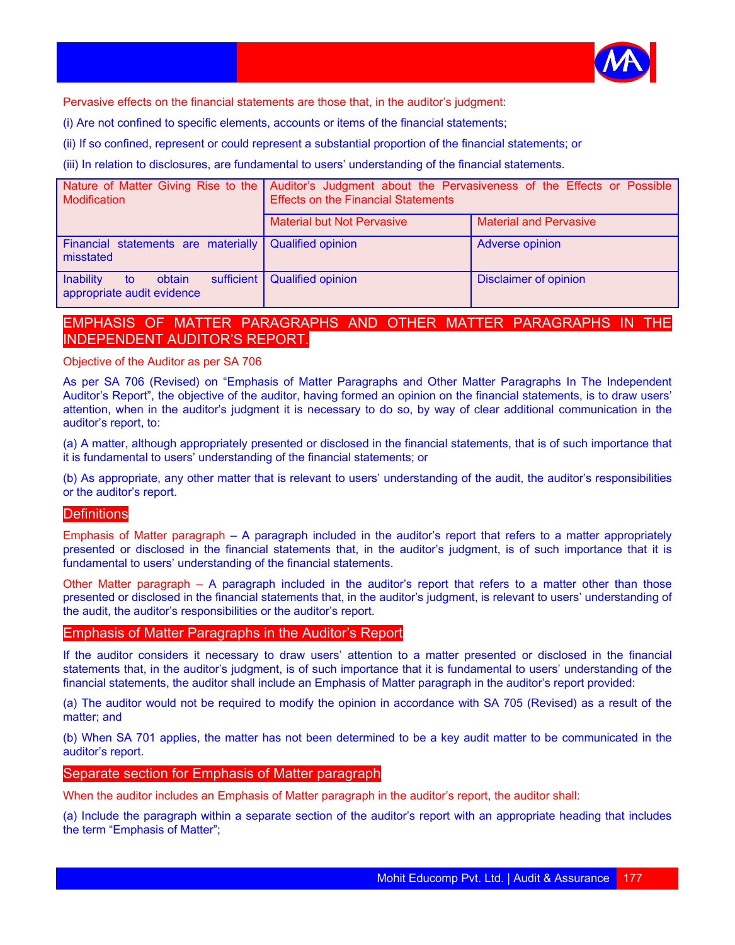

Pervasive effects on the financial statements are those that, in the auditor's judgment:

(i) Are not confined to specific elements, accounts or items of the financial statements;

(ii) If so confined, represent or could represent a substantial proportion of the financial statements; or

(iii) In relation to disclosures, are fundamental to users' understanding of the financial statements.

| Modification                                                         | Nature of Matter Giving Rise to the   Auditor's Judgment about the Pervasiveness of the Effects or Possible<br><b>Effects on the Financial Statements</b> |                               |
|----------------------------------------------------------------------|-----------------------------------------------------------------------------------------------------------------------------------------------------------|-------------------------------|
|                                                                      | <b>Material but Not Pervasive</b>                                                                                                                         | <b>Material and Pervasive</b> |
| Financial statements are materially   Qualified opinion<br>misstated |                                                                                                                                                           | <b>Adverse opinion</b>        |
| Inability<br>obtain<br>to<br>appropriate audit evidence              | sufficient   Qualified opinion                                                                                                                            | <b>Disclaimer of opinion</b>  |

# EMPHASIS OF MATTER PARAGRAPHS AND OTHER MATTER PARAGRAPHS IN THE INDEPENDENT AUDITOR'S REPORT.

Objective of the Auditor as per SA 706

As per SA 706 (Revised) on "Emphasis of Matter Paragraphs and Other Matter Paragraphs In The Independent Auditor's Report", the objective of the auditor, having formed an opinion on the financial statements, is to draw users' attention, when in the auditor's judgment it is necessary to do so, by way of clear additional communication in the auditor's report, to:

(a) A matter, although appropriately presented or disclosed in the financial statements, that is of such importance that it is fundamental to users' understanding of the financial statements; or

(b) As appropriate, any other matter that is relevant to users' understanding of the audit, the auditor's responsibilities or the auditor's report.

# **Definitions**

Emphasis of Matter paragraph – A paragraph included in the auditor's report that refers to a matter appropriately presented or disclosed in the financial statements that, in the auditor's judgment, is of such importance that it is fundamental to users' understanding of the financial statements.

Other Matter paragraph – A paragraph included in the auditor's report that refers to a matter other than those presented or disclosed in the financial statements that, in the auditor's judgment, is relevant to users' understanding of the audit, the auditor's responsibilities or the auditor's report.

#### Emphasis of Matter Paragraphs in the Auditor's Report

If the auditor considers it necessary to draw users' attention to a matter presented or disclosed in the financial statements that, in the auditor's judgment, is of such importance that it is fundamental to users' understanding of the financial statements, the auditor shall include an Emphasis of Matter paragraph in the auditor's report provided:

(a) The auditor would not be required to modify the opinion in accordance with SA 705 (Revised) as a result of the matter; and

(b) When SA 701 applies, the matter has not been determined to be a key audit matter to be communicated in the auditor's report.

#### Separate section for Emphasis of Matter paragraph

When the auditor includes an Emphasis of Matter paragraph in the auditor's report, the auditor shall:

(a) Include the paragraph within a separate section of the auditor's report with an appropriate heading that includes the term "Emphasis of Matter";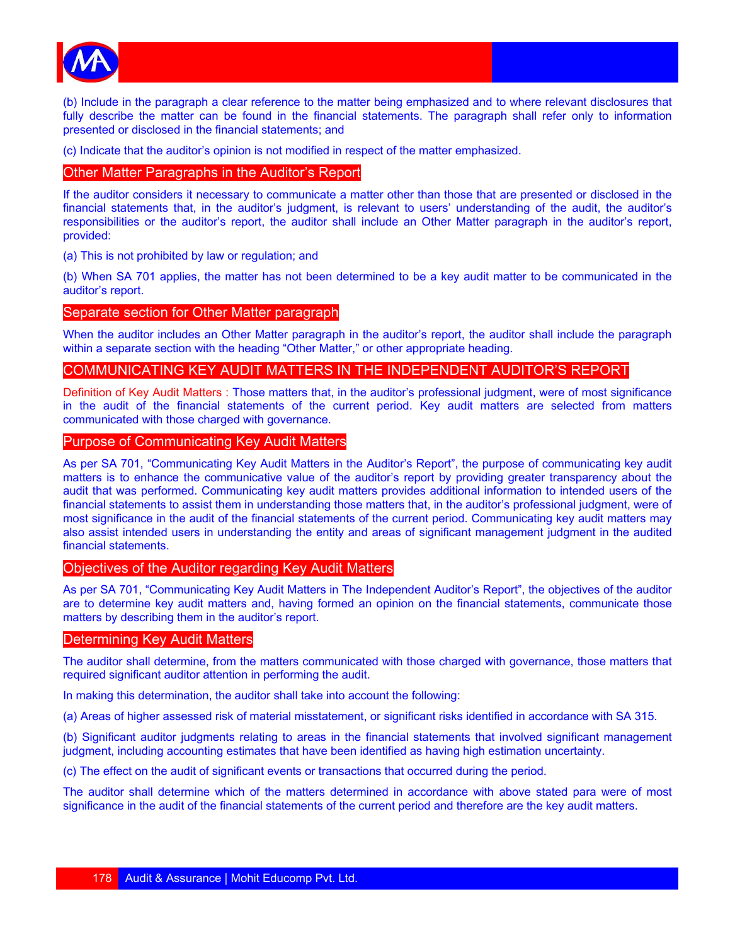

(b) Include in the paragraph a clear reference to the matter being emphasized and to where relevant disclosures that fully describe the matter can be found in the financial statements. The paragraph shall refer only to information presented or disclosed in the financial statements; and

(c) Indicate that the auditor's opinion is not modified in respect of the matter emphasized.

# Other Matter Paragraphs in the Auditor's Report

If the auditor considers it necessary to communicate a matter other than those that are presented or disclosed in the financial statements that, in the auditor's judgment, is relevant to users' understanding of the audit, the auditor's responsibilities or the auditor's report, the auditor shall include an Other Matter paragraph in the auditor's report, provided:

(a) This is not prohibited by law or regulation; and

(b) When SA 701 applies, the matter has not been determined to be a key audit matter to be communicated in the auditor's report.

#### Separate section for Other Matter paragraph

When the auditor includes an Other Matter paragraph in the auditor's report, the auditor shall include the paragraph within a separate section with the heading "Other Matter," or other appropriate heading.

# COMMUNICATING KEY AUDIT MATTERS IN THE INDEPENDENT AUDITOR'S REPORT

Definition of Key Audit Matters : Those matters that, in the auditor's professional judgment, were of most significance in the audit of the financial statements of the current period. Key audit matters are selected from matters communicated with those charged with governance.

#### Purpose of Communicating Key Audit Matters

As per SA 701, "Communicating Key Audit Matters in the Auditor's Report", the purpose of communicating key audit matters is to enhance the communicative value of the auditor's report by providing greater transparency about the audit that was performed. Communicating key audit matters provides additional information to intended users of the financial statements to assist them in understanding those matters that, in the auditor's professional judgment, were of most significance in the audit of the financial statements of the current period. Communicating key audit matters may also assist intended users in understanding the entity and areas of significant management judgment in the audited financial statements.

# Objectives of the Auditor regarding Key Audit Matters

As per SA 701, "Communicating Key Audit Matters in The Independent Auditor's Report", the objectives of the auditor are to determine key audit matters and, having formed an opinion on the financial statements, communicate those matters by describing them in the auditor's report.

#### Determining Key Audit Matters

The auditor shall determine, from the matters communicated with those charged with governance, those matters that required significant auditor attention in performing the audit.

In making this determination, the auditor shall take into account the following:

(a) Areas of higher assessed risk of material misstatement, or significant risks identified in accordance with SA 315.

(b) Significant auditor judgments relating to areas in the financial statements that involved significant management judgment, including accounting estimates that have been identified as having high estimation uncertainty.

(c) The effect on the audit of significant events or transactions that occurred during the period.

The auditor shall determine which of the matters determined in accordance with above stated para were of most significance in the audit of the financial statements of the current period and therefore are the key audit matters.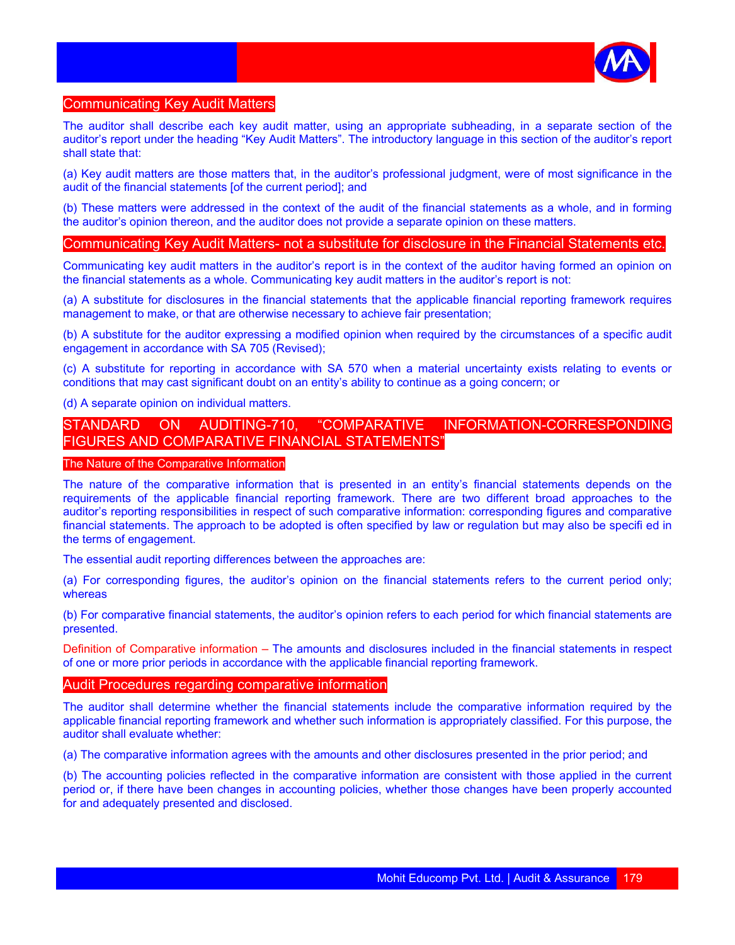

### Communicating Key Audit Matters

The auditor shall describe each key audit matter, using an appropriate subheading, in a separate section of the auditor's report under the heading "Key Audit Matters". The introductory language in this section of the auditor's report shall state that:

(a) Key audit matters are those matters that, in the auditor's professional judgment, were of most significance in the audit of the financial statements [of the current period]; and

(b) These matters were addressed in the context of the audit of the financial statements as a whole, and in forming the auditor's opinion thereon, and the auditor does not provide a separate opinion on these matters.

#### Communicating Key Audit Matters- not a substitute for disclosure in the Financial Statements etc.

Communicating key audit matters in the auditor's report is in the context of the auditor having formed an opinion on the financial statements as a whole. Communicating key audit matters in the auditor's report is not:

(a) A substitute for disclosures in the financial statements that the applicable financial reporting framework requires management to make, or that are otherwise necessary to achieve fair presentation;

(b) A substitute for the auditor expressing a modified opinion when required by the circumstances of a specific audit engagement in accordance with SA 705 (Revised);

(c) A substitute for reporting in accordance with SA 570 when a material uncertainty exists relating to events or conditions that may cast significant doubt on an entity's ability to continue as a going concern; or

(d) A separate opinion on individual matters.

# STANDARD ON AUDITING-710, "COMPARATIVE INFORMATION-CORRESPONDING FIGURES AND COMPARATIVE FINANCIAL STATEMENTS"

#### The Nature of the Comparative Information

The nature of the comparative information that is presented in an entity's financial statements depends on the requirements of the applicable financial reporting framework. There are two different broad approaches to the auditor's reporting responsibilities in respect of such comparative information: corresponding figures and comparative financial statements. The approach to be adopted is often specified by law or regulation but may also be specifi ed in the terms of engagement.

The essential audit reporting differences between the approaches are:

(a) For corresponding figures, the auditor's opinion on the financial statements refers to the current period only; whereas

(b) For comparative financial statements, the auditor's opinion refers to each period for which financial statements are presented.

Definition of Comparative information – The amounts and disclosures included in the financial statements in respect of one or more prior periods in accordance with the applicable financial reporting framework.

### Audit Procedures regarding comparative information

The auditor shall determine whether the financial statements include the comparative information required by the applicable financial reporting framework and whether such information is appropriately classified. For this purpose, the auditor shall evaluate whether:

(a) The comparative information agrees with the amounts and other disclosures presented in the prior period; and

(b) The accounting policies reflected in the comparative information are consistent with those applied in the current period or, if there have been changes in accounting policies, whether those changes have been properly accounted for and adequately presented and disclosed.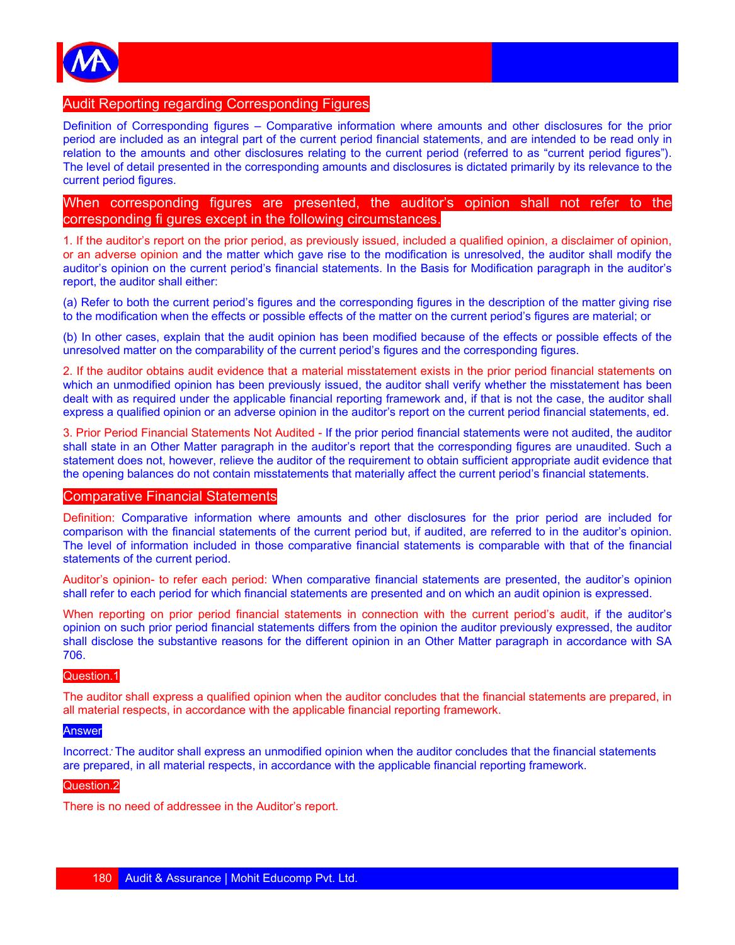

### Audit Reporting regarding Corresponding Figures

Definition of Corresponding figures – Comparative information where amounts and other disclosures for the prior period are included as an integral part of the current period financial statements, and are intended to be read only in relation to the amounts and other disclosures relating to the current period (referred to as "current period figures"). The level of detail presented in the corresponding amounts and disclosures is dictated primarily by its relevance to the current period figures.

# When corresponding figures are presented, the auditor's opinion shall not refer to the corresponding fi gures except in the following circumstances.

1. If the auditor's report on the prior period, as previously issued, included a qualified opinion, a disclaimer of opinion, or an adverse opinion and the matter which gave rise to the modification is unresolved, the auditor shall modify the auditor's opinion on the current period's financial statements. In the Basis for Modification paragraph in the auditor's report, the auditor shall either:

(a) Refer to both the current period's figures and the corresponding figures in the description of the matter giving rise to the modification when the effects or possible effects of the matter on the current period's figures are material; or

(b) In other cases, explain that the audit opinion has been modified because of the effects or possible effects of the unresolved matter on the comparability of the current period's figures and the corresponding figures.

2. If the auditor obtains audit evidence that a material misstatement exists in the prior period financial statements on which an unmodified opinion has been previously issued, the auditor shall verify whether the misstatement has been dealt with as required under the applicable financial reporting framework and, if that is not the case, the auditor shall express a qualified opinion or an adverse opinion in the auditor's report on the current period financial statements, ed.

3. Prior Period Financial Statements Not Audited - If the prior period financial statements were not audited, the auditor shall state in an Other Matter paragraph in the auditor's report that the corresponding figures are unaudited. Such a statement does not, however, relieve the auditor of the requirement to obtain sufficient appropriate audit evidence that the opening balances do not contain misstatements that materially affect the current period's financial statements.

#### Comparative Financial Statements

Definition: Comparative information where amounts and other disclosures for the prior period are included for comparison with the financial statements of the current period but, if audited, are referred to in the auditor's opinion. The level of information included in those comparative financial statements is comparable with that of the financial statements of the current period.

Auditor's opinion- to refer each period: When comparative financial statements are presented, the auditor's opinion shall refer to each period for which financial statements are presented and on which an audit opinion is expressed.

When reporting on prior period financial statements in connection with the current period's audit, if the auditor's opinion on such prior period financial statements differs from the opinion the auditor previously expressed, the auditor shall disclose the substantive reasons for the different opinion in an Other Matter paragraph in accordance with SA 706.

#### Question.1

The auditor shall express a qualified opinion when the auditor concludes that the financial statements are prepared, in all material respects, in accordance with the applicable financial reporting framework.

#### Answer

Incorrect: The auditor shall express an unmodified opinion when the auditor concludes that the financial statements are prepared, in all material respects, in accordance with the applicable financial reporting framework.

#### Question.2

There is no need of addressee in the Auditor's report.